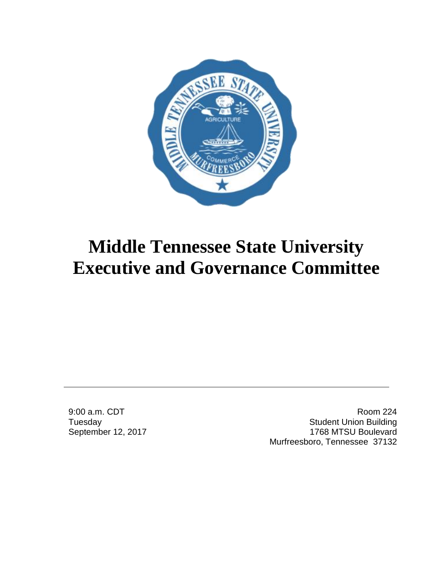

9:00 a.m. CDT Tuesday September 12, 2017

Room 224 Student Union Building 1768 MTSU Boulevard Murfreesboro, Tennessee 37132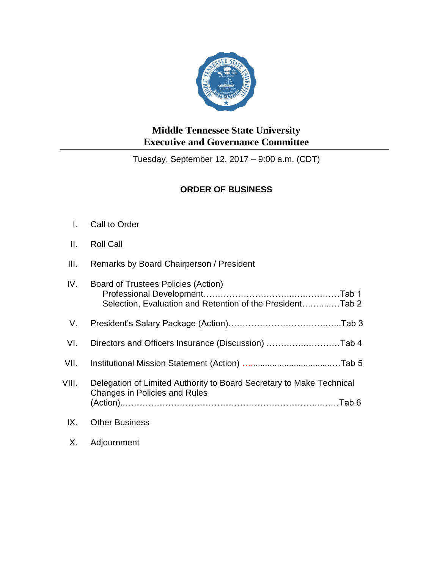

## Tuesday, September 12, 2017 – 9:00 a.m. (CDT)

#### **ORDER OF BUSINESS**

| Ι. |  |  | Call to Order |
|----|--|--|---------------|
|----|--|--|---------------|

II. Roll Call

| III. |  |  |  |  |  | Remarks by Board Chairperson / President |
|------|--|--|--|--|--|------------------------------------------|
|------|--|--|--|--|--|------------------------------------------|

| IV.   | Board of Trustees Policies (Action)<br>Selection, Evaluation and Retention of the PresidentTab 2             |
|-------|--------------------------------------------------------------------------------------------------------------|
| V.    |                                                                                                              |
| VI.   | Directors and Officers Insurance (Discussion) Tab 4                                                          |
| VII.  |                                                                                                              |
| VIII. | Delegation of Limited Authority to Board Secretary to Make Technical<br><b>Changes in Policies and Rules</b> |
| IX.   | <b>Other Business</b>                                                                                        |

X. Adjournment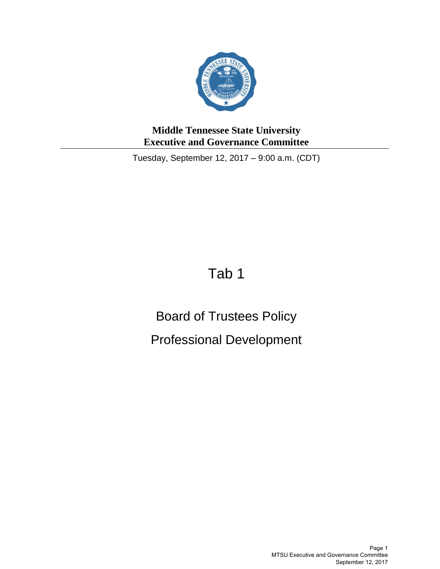

Tuesday, September 12, 2017 – 9:00 a.m. (CDT)

# Tab 1

Board of Trustees Policy Professional Development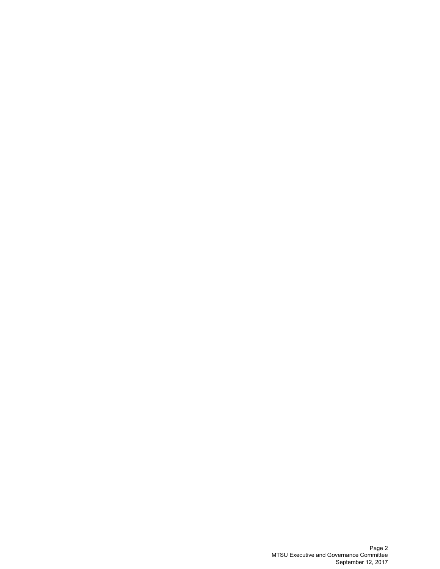Page 2 MTSU Executive and Governance Committee September 12, 2017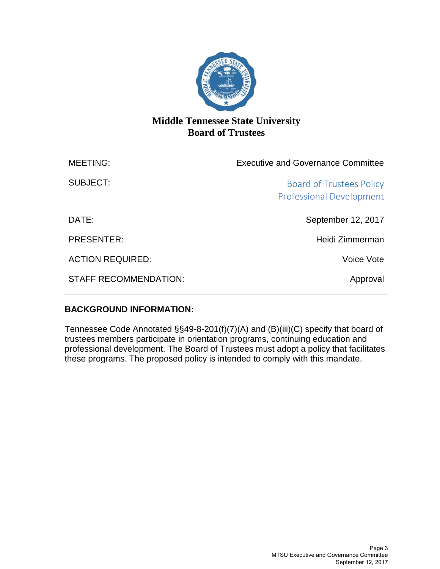

| <b>MEETING:</b>              | <b>Executive and Governance Committee</b>                          |
|------------------------------|--------------------------------------------------------------------|
| SUBJECT:                     | <b>Board of Trustees Policy</b><br><b>Professional Development</b> |
| DATE:                        | September 12, 2017                                                 |
| <b>PRESENTER:</b>            | Heidi Zimmerman                                                    |
| <b>ACTION REQUIRED:</b>      | Voice Vote                                                         |
| <b>STAFF RECOMMENDATION:</b> | Approval                                                           |
|                              |                                                                    |

#### **BACKGROUND INFORMATION:**

Tennessee Code Annotated §§49-8-201(f)(7)(A) and (B)(iii)(C) specify that board of trustees members participate in orientation programs, continuing education and professional development. The Board of Trustees must adopt a policy that facilitates these programs. The proposed policy is intended to comply with this mandate.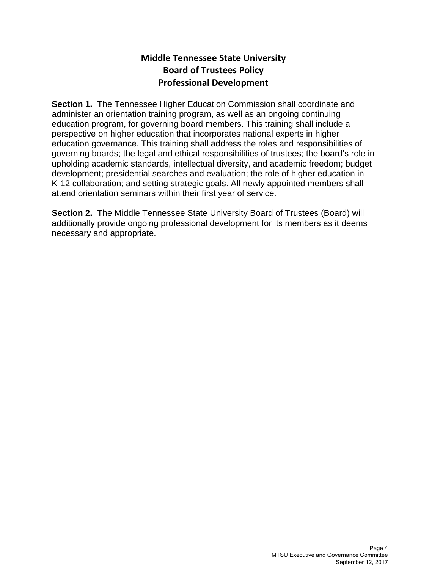## **Middle Tennessee State University Board of Trustees Policy Professional Development**

**Section 1.** The Tennessee Higher Education Commission shall coordinate and administer an orientation training program, as well as an ongoing continuing education program, for governing board members. This training shall include a perspective on higher education that incorporates national experts in higher education governance. This training shall address the roles and responsibilities of governing boards; the legal and ethical responsibilities of trustees; the board's role in upholding academic standards, intellectual diversity, and academic freedom; budget development; presidential searches and evaluation; the role of higher education in K-12 collaboration; and setting strategic goals. All newly appointed members shall attend orientation seminars within their first year of service.

**Section 2.** The Middle Tennessee State University Board of Trustees (Board) will additionally provide ongoing professional development for its members as it deems necessary and appropriate.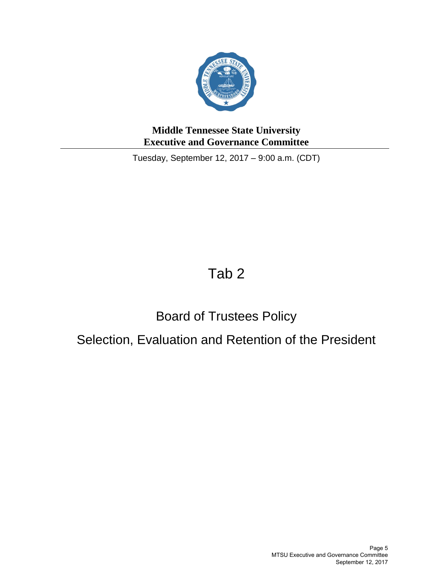

Tuesday, September 12, 2017 – 9:00 a.m. (CDT)

# Tab 2

## Board of Trustees Policy

## Selection, Evaluation and Retention of the President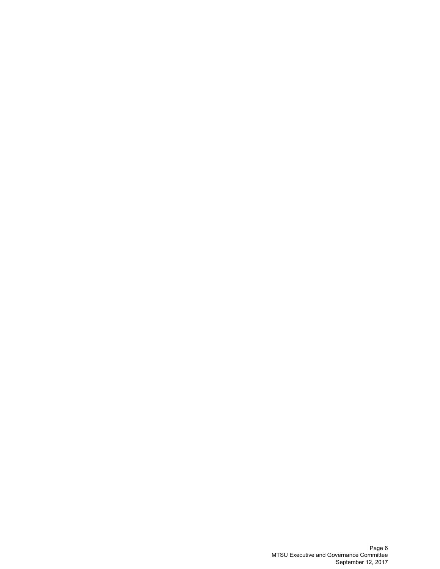Page 6 MTSU Executive and Governance Committee September 12, 2017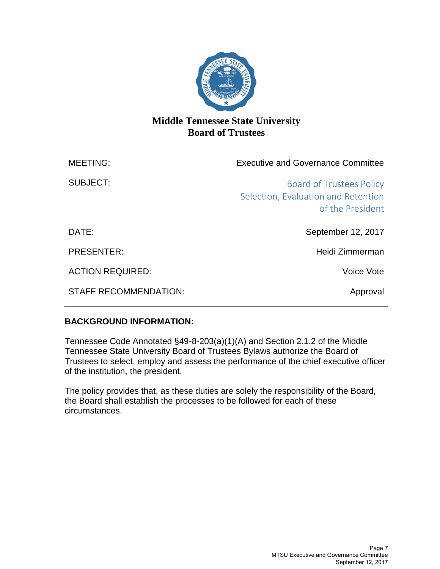

| <b>MEETING:</b>              | <b>Executive and Governance Committee</b>                                                  |
|------------------------------|--------------------------------------------------------------------------------------------|
| <b>SUBJECT:</b>              | <b>Board of Trustees Policy</b><br>Selection, Evaluation and Retention<br>of the President |
| DATE:                        | September 12, 2017                                                                         |
| <b>PRESENTER:</b>            | Heidi Zimmerman                                                                            |
| <b>ACTION REQUIRED:</b>      | Voice Vote                                                                                 |
| <b>STAFF RECOMMENDATION:</b> | Approval                                                                                   |
|                              |                                                                                            |

#### **BACKGROUND INFORMATION:**

Tennessee Code Annotated §49-8-203(a)(1)(A) and Section 2.1.2 of the Middle Tennessee State University Board of Trustees Bylaws authorize the Board of Trustees to select, employ and assess the performance of the chief executive officer of the institution, the president.

The policy provides that, as these duties are solely the responsibility of the Board, the Board shall establish the processes to be followed for each of these circumstances.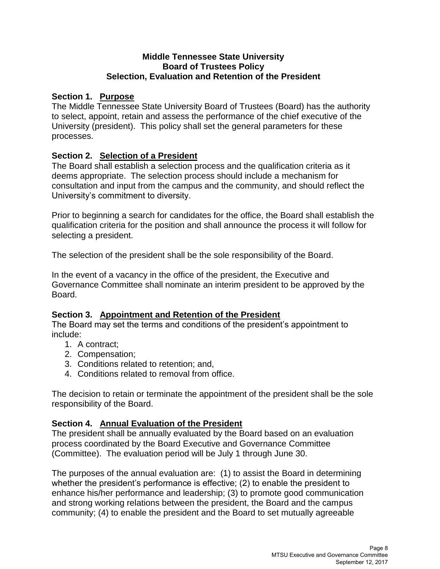#### **Middle Tennessee State University Board of Trustees Policy Selection, Evaluation and Retention of the President**

#### **Section 1. Purpose**

The Middle Tennessee State University Board of Trustees (Board) has the authority to select, appoint, retain and assess the performance of the chief executive of the University (president). This policy shall set the general parameters for these processes.

#### **Section 2. Selection of a President**

The Board shall establish a selection process and the qualification criteria as it deems appropriate. The selection process should include a mechanism for consultation and input from the campus and the community, and should reflect the University's commitment to diversity.

Prior to beginning a search for candidates for the office, the Board shall establish the qualification criteria for the position and shall announce the process it will follow for selecting a president.

The selection of the president shall be the sole responsibility of the Board.

In the event of a vacancy in the office of the president, the Executive and Governance Committee shall nominate an interim president to be approved by the Board.

#### **Section 3. Appointment and Retention of the President**

The Board may set the terms and conditions of the president's appointment to include:

- 1. A contract;
- 2. Compensation;
- 3. Conditions related to retention; and,
- 4. Conditions related to removal from office.

The decision to retain or terminate the appointment of the president shall be the sole responsibility of the Board.

#### **Section 4. Annual Evaluation of the President**

The president shall be annually evaluated by the Board based on an evaluation process coordinated by the Board Executive and Governance Committee (Committee). The evaluation period will be July 1 through June 30.

The purposes of the annual evaluation are: (1) to assist the Board in determining whether the president's performance is effective; (2) to enable the president to enhance his/her performance and leadership; (3) to promote good communication and strong working relations between the president, the Board and the campus community; (4) to enable the president and the Board to set mutually agreeable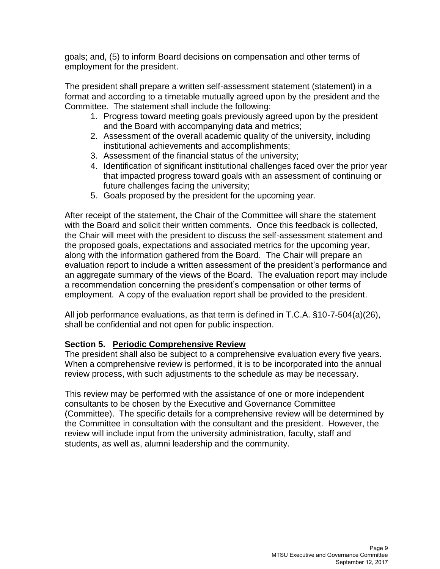goals; and, (5) to inform Board decisions on compensation and other terms of employment for the president.

The president shall prepare a written self-assessment statement (statement) in a format and according to a timetable mutually agreed upon by the president and the Committee. The statement shall include the following:

- 1. Progress toward meeting goals previously agreed upon by the president and the Board with accompanying data and metrics;
- 2. Assessment of the overall academic quality of the university, including institutional achievements and accomplishments;
- 3. Assessment of the financial status of the university;
- 4. Identification of significant institutional challenges faced over the prior year that impacted progress toward goals with an assessment of continuing or future challenges facing the university;
- 5. Goals proposed by the president for the upcoming year.

After receipt of the statement, the Chair of the Committee will share the statement with the Board and solicit their written comments. Once this feedback is collected, the Chair will meet with the president to discuss the self-assessment statement and the proposed goals, expectations and associated metrics for the upcoming year, along with the information gathered from the Board. The Chair will prepare an evaluation report to include a written assessment of the president's performance and an aggregate summary of the views of the Board. The evaluation report may include a recommendation concerning the president's compensation or other terms of employment. A copy of the evaluation report shall be provided to the president.

All job performance evaluations, as that term is defined in T.C.A. §10-7-504(a)(26), shall be confidential and not open for public inspection.

#### **Section 5. Periodic Comprehensive Review**

The president shall also be subject to a comprehensive evaluation every five years. When a comprehensive review is performed, it is to be incorporated into the annual review process, with such adjustments to the schedule as may be necessary.

This review may be performed with the assistance of one or more independent consultants to be chosen by the Executive and Governance Committee (Committee). The specific details for a comprehensive review will be determined by the Committee in consultation with the consultant and the president. However, the review will include input from the university administration, faculty, staff and students, as well as, alumni leadership and the community.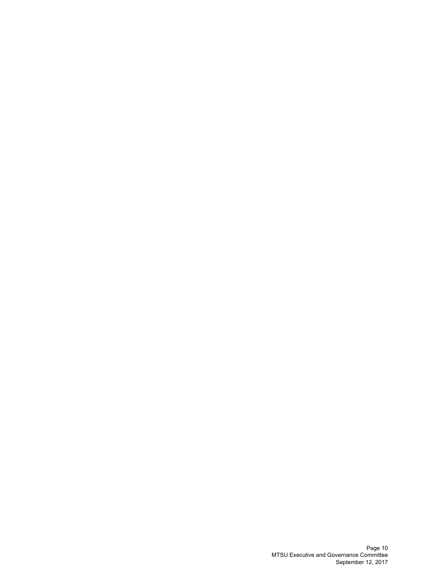Page 10 MTSU Executive and Governance Committee September 12, 2017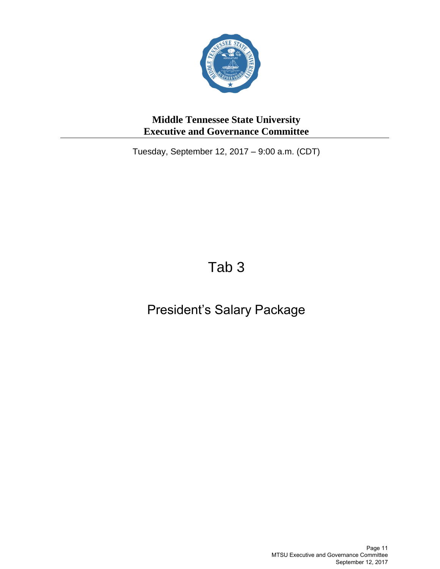

Tuesday, September 12, 2017 – 9:00 a.m. (CDT)

Tab 3

President's Salary Package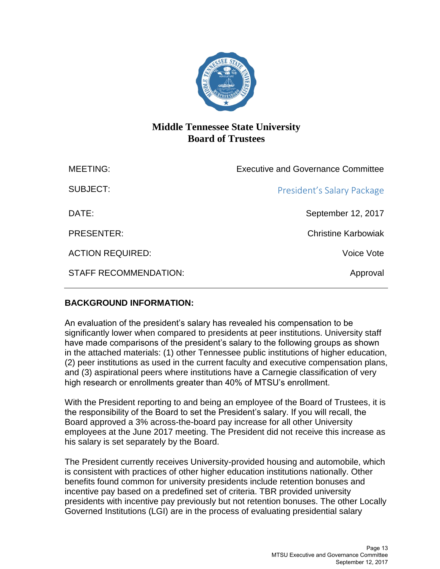

| <b>Executive and Governance Committee</b> |
|-------------------------------------------|
| President's Salary Package                |
| September 12, 2017                        |
| <b>Christine Karbowiak</b>                |
| Voice Vote                                |
| Approval                                  |
|                                           |

#### **BACKGROUND INFORMATION:**

An evaluation of the president's salary has revealed his compensation to be significantly lower when compared to presidents at peer institutions. University staff have made comparisons of the president's salary to the following groups as shown in the attached materials: (1) other Tennessee public institutions of higher education, (2) peer institutions as used in the current faculty and executive compensation plans, and (3) aspirational peers where institutions have a Carnegie classification of very high research or enrollments greater than 40% of MTSU's enrollment.

With the President reporting to and being an employee of the Board of Trustees, it is the responsibility of the Board to set the President's salary. If you will recall, the Board approved a 3% across-the-board pay increase for all other University employees at the June 2017 meeting. The President did not receive this increase as his salary is set separately by the Board.

The President currently receives University-provided housing and automobile, which is consistent with practices of other higher education institutions nationally. Other benefits found common for university presidents include retention bonuses and incentive pay based on a predefined set of criteria. TBR provided university presidents with incentive pay previously but not retention bonuses. The other Locally Governed Institutions (LGI) are in the process of evaluating presidential salary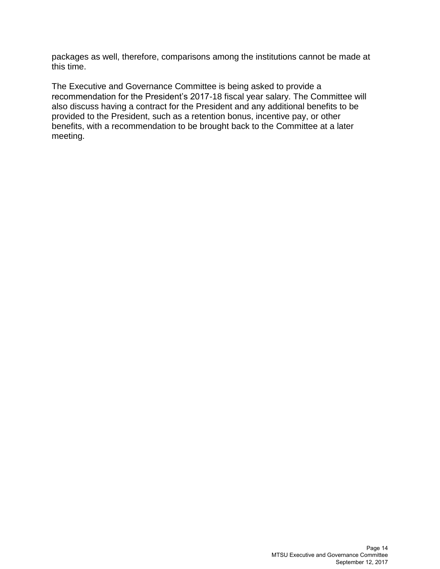packages as well, therefore, comparisons among the institutions cannot be made at this time.

The Executive and Governance Committee is being asked to provide a recommendation for the President's 2017-18 fiscal year salary. The Committee will also discuss having a contract for the President and any additional benefits to be provided to the President, such as a retention bonus, incentive pay, or other benefits, with a recommendation to be brought back to the Committee at a later meeting.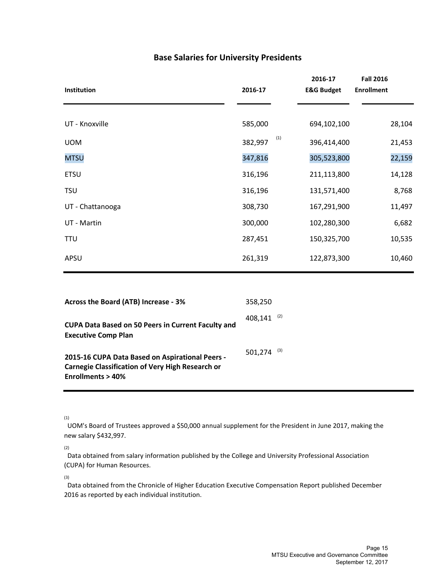| Institution      | 2016-17        | 2016-17<br><b>E&amp;G Budget</b> | <b>Fall 2016</b><br><b>Enrollment</b> |
|------------------|----------------|----------------------------------|---------------------------------------|
| UT - Knoxville   | 585,000        | 694,102,100                      | 28,104                                |
| <b>UOM</b>       | (1)<br>382,997 | 396,414,400                      | 21,453                                |
| <b>MTSU</b>      | 347,816        | 305,523,800                      | 22,159                                |
| ETSU             | 316,196        | 211,113,800                      | 14,128                                |
| <b>TSU</b>       | 316,196        | 131,571,400                      | 8,768                                 |
| UT - Chattanooga | 308,730        | 167,291,900                      | 11,497                                |
| UT - Martin      | 300,000        | 102,280,300                      | 6,682                                 |
| <b>TTU</b>       | 287,451        | 150,325,700                      | 10,535                                |
| APSU             | 261,319        | 122,873,300                      | 10,460                                |

#### **Base Salaries for University Presidents**

| Across the Board (ATB) Increase - 3%                                                                                                      | 358,250 |     |
|-------------------------------------------------------------------------------------------------------------------------------------------|---------|-----|
| <b>CUPA Data Based on 50 Peers in Current Faculty and</b><br><b>Executive Comp Plan</b>                                                   | 408,141 | (2) |
| 2015-16 CUPA Data Based on Aspirational Peers -<br><b>Carnegie Classification of Very High Research or</b><br><b>Enrollments &gt; 40%</b> | 501,274 | (3) |

(1)

 UOM's Board of Trustees approved a \$50,000 annual supplement for the President in June 2017, making the new salary \$432,997.

(2)

 Data obtained from salary information published by the College and University Professional Association (CUPA) for Human Resources.

(3)

 Data obtained from the Chronicle of Higher Education Executive Compensation Report published December 2016 as reported by each individual institution.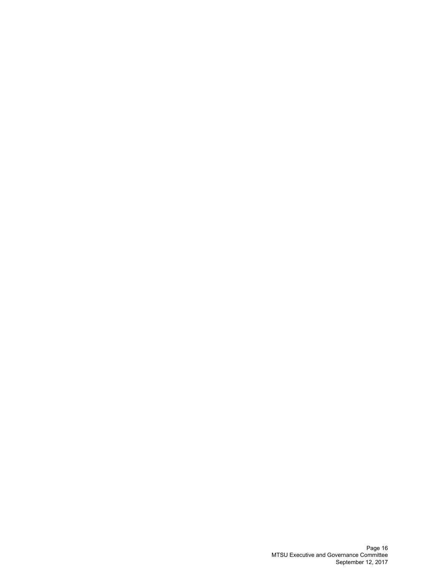Page 16 MTSU Executive and Governance Committee September 12, 2017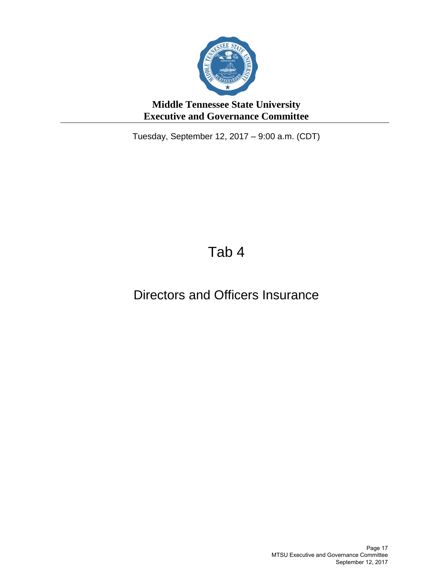

Tuesday, September 12, 2017 – 9:00 a.m. (CDT)

## Tab 4

## Directors and Officers Insurance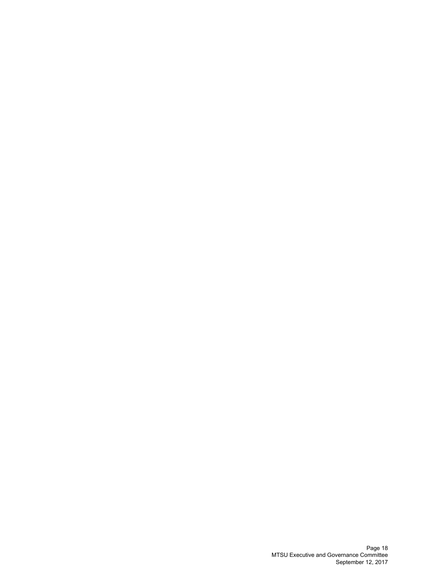Page 18 MTSU Executive and Governance Committee September 12, 2017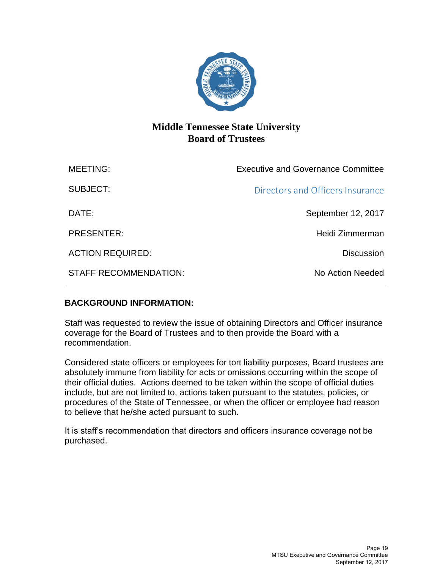

| <b>MEETING:</b>              | <b>Executive and Governance Committee</b> |
|------------------------------|-------------------------------------------|
| SUBJECT:                     | Directors and Officers Insurance          |
| DATE:                        | September 12, 2017                        |
| <b>PRESENTER:</b>            | Heidi Zimmerman                           |
| <b>ACTION REQUIRED:</b>      | <b>Discussion</b>                         |
| <b>STAFF RECOMMENDATION:</b> | No Action Needed                          |

#### **BACKGROUND INFORMATION:**

Staff was requested to review the issue of obtaining Directors and Officer insurance coverage for the Board of Trustees and to then provide the Board with a recommendation.

Considered state officers or employees for tort liability purposes, Board trustees are absolutely immune from liability for acts or omissions occurring within the scope of their official duties. Actions deemed to be taken within the scope of official duties include, but are not limited to, actions taken pursuant to the statutes, policies, or procedures of the State of Tennessee, or when the officer or employee had reason to believe that he/she acted pursuant to such.

It is staff's recommendation that directors and officers insurance coverage not be purchased.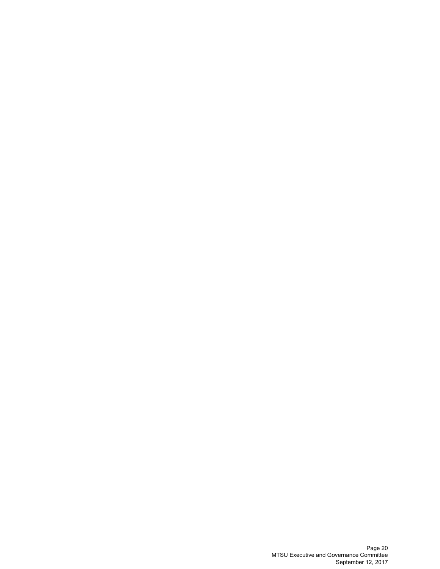Page 20 MTSU Executive and Governance Committee September 12, 2017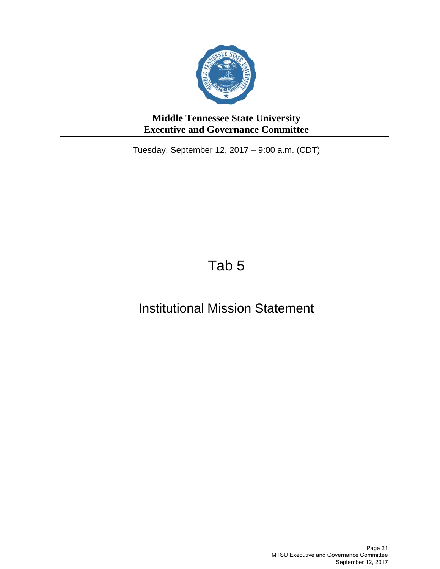

Tuesday, September 12, 2017 – 9:00 a.m. (CDT)

# Tab 5

## Institutional Mission Statement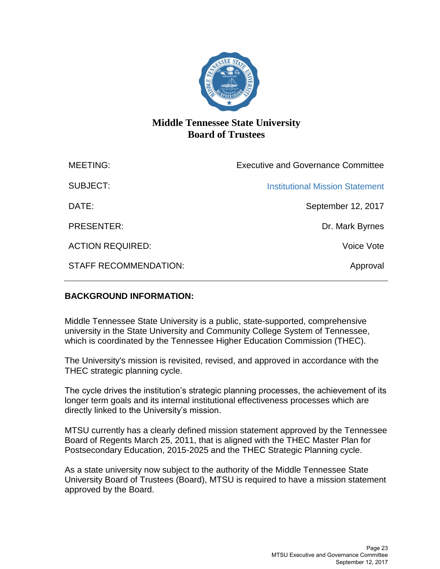

| <b>MEETING:</b>              | <b>Executive and Governance Committee</b> |
|------------------------------|-------------------------------------------|
| SUBJECT:                     | <b>Institutional Mission Statement</b>    |
| DATE:                        | September 12, 2017                        |
| <b>PRESENTER:</b>            | Dr. Mark Byrnes                           |
| <b>ACTION REQUIRED:</b>      | Voice Vote                                |
| <b>STAFF RECOMMENDATION:</b> | Approval                                  |

#### **BACKGROUND INFORMATION:**

Middle Tennessee State University is a public, state-supported, comprehensive university in the State University and Community College System of Tennessee, which is coordinated by the Tennessee Higher Education Commission (THEC).

The University's mission is revisited, revised, and approved in accordance with the THEC strategic planning cycle.

The cycle drives the institution's strategic planning processes, the achievement of its longer term goals and its internal institutional effectiveness processes which are directly linked to the University's mission.

MTSU currently has a clearly defined mission statement approved by the Tennessee Board of Regents March 25, 2011, that is aligned with the THEC Master Plan for Postsecondary Education, 2015-2025 and the THEC Strategic Planning cycle.

As a state university now subject to the authority of the Middle Tennessee State University Board of Trustees (Board), MTSU is required to have a mission statement approved by the Board.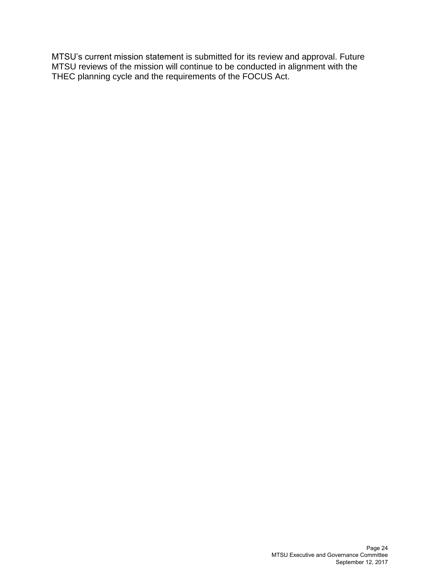MTSU's current mission statement is submitted for its review and approval. Future MTSU reviews of the mission will continue to be conducted in alignment with the THEC planning cycle and the requirements of the FOCUS Act.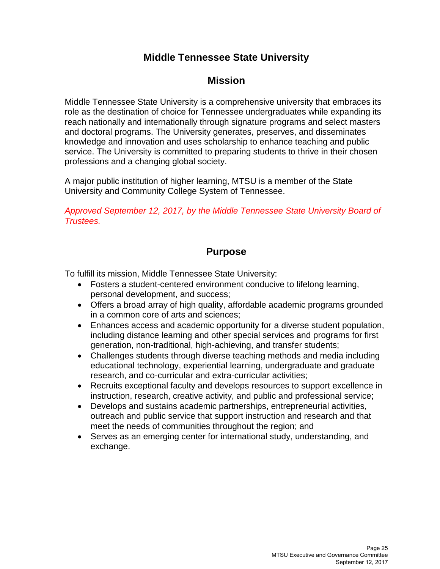## **Middle Tennessee State University**

### **Mission**

Middle Tennessee State University is a comprehensive university that embraces its role as the destination of choice for Tennessee undergraduates while expanding its reach nationally and internationally through signature programs and select masters and doctoral programs. The University generates, preserves, and disseminates knowledge and innovation and uses scholarship to enhance teaching and public service. The University is committed to preparing students to thrive in their chosen professions and a changing global society.

A major public institution of higher learning, MTSU is a member of the State University and Community College System of Tennessee.

*Approved September 12, 2017, by the Middle Tennessee State University Board of Trustees.*

## **Purpose**

To fulfill its mission, Middle Tennessee State University:

- Fosters a student-centered environment conducive to lifelong learning, personal development, and success;
- Offers a broad array of high quality, affordable academic programs grounded in a common core of arts and sciences;
- Enhances access and academic opportunity for a diverse student population, including distance learning and other special services and programs for first generation, non-traditional, high-achieving, and transfer students;
- Challenges students through diverse teaching methods and media including educational technology, experiential learning, undergraduate and graduate research, and co-curricular and extra-curricular activities;
- Recruits exceptional faculty and develops resources to support excellence in instruction, research, creative activity, and public and professional service;
- Develops and sustains academic partnerships, entrepreneurial activities, outreach and public service that support instruction and research and that meet the needs of communities throughout the region; and
- Serves as an emerging center for international study, understanding, and exchange.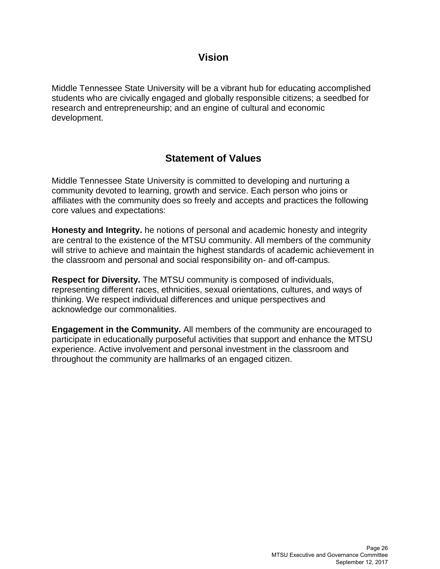### **Vision**

Middle Tennessee State University will be a vibrant hub for educating accomplished students who are civically engaged and globally responsible citizens; a seedbed for research and entrepreneurship; and an engine of cultural and economic development.

#### **Statement of Values**

Middle Tennessee State University is committed to developing and nurturing a community devoted to learning, growth and service. Each person who joins or affiliates with the community does so freely and accepts and practices the following core values and expectations:

**Honesty and Integrity.** he notions of personal and academic honesty and integrity are central to the existence of the MTSU community. All members of the community will strive to achieve and maintain the highest standards of academic achievement in the classroom and personal and social responsibility on- and off-campus.

**Respect for Diversity.** The MTSU community is composed of individuals, representing different races, ethnicities, sexual orientations, cultures, and ways of thinking. We respect individual differences and unique perspectives and acknowledge our commonalities.

**Engagement in the Community.** All members of the community are encouraged to participate in educationally purposeful activities that support and enhance the MTSU experience. Active involvement and personal investment in the classroom and throughout the community are hallmarks of an engaged citizen.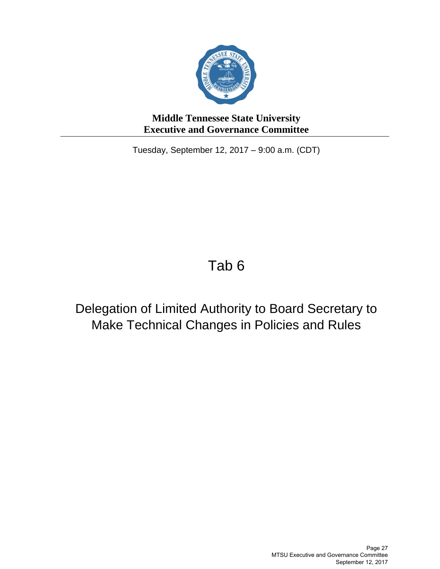

Tuesday, September 12, 2017 – 9:00 a.m. (CDT)

Tab 6

## Delegation of Limited Authority to Board Secretary to Make Technical Changes in Policies and Rules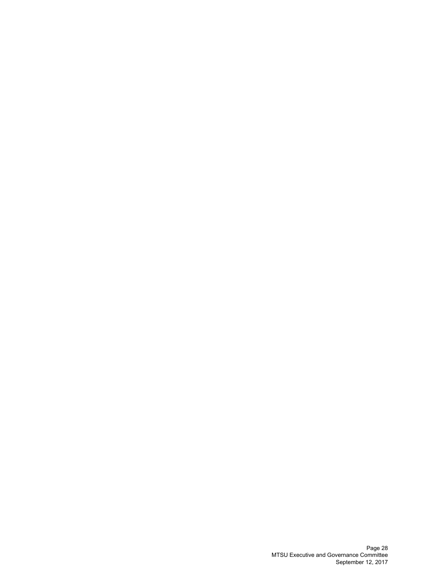Page 28 MTSU Executive and Governance Committee September 12, 2017